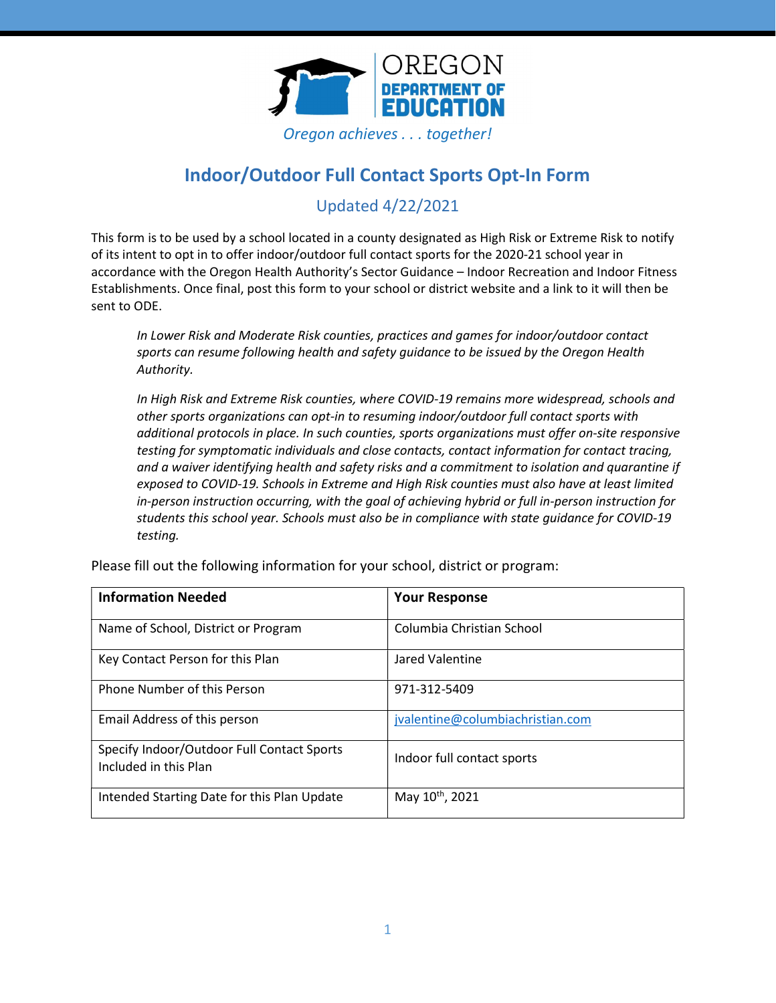

# Indoor/Outdoor Full Contact Sports Opt-In Form

## Updated 4/22/2021

This form is to be used by a school located in a county designated as High Risk or Extreme Risk to notify of its intent to opt in to offer indoor/outdoor full contact sports for the 2020-21 school year in accordance with the Oregon Health Authority's Sector Guidance – Indoor Recreation and Indoor Fitness Establishments. Once final, post this form to your school or district website and a link to it will then be sent to ODE.

In Lower Risk and Moderate Risk counties, practices and games for indoor/outdoor contact sports can resume following health and safety guidance to be issued by the Oregon Health Authority.

In High Risk and Extreme Risk counties, where COVID-19 remains more widespread, schools and other sports organizations can opt-in to resuming indoor/outdoor full contact sports with additional protocols in place. In such counties, sports organizations must offer on-site responsive testing for symptomatic individuals and close contacts, contact information for contact tracing, and a waiver identifying health and safety risks and a commitment to isolation and quarantine if exposed to COVID-19. Schools in Extreme and High Risk counties must also have at least limited in-person instruction occurring, with the goal of achieving hybrid or full in-person instruction for students this school year. Schools must also be in compliance with state guidance for COVID-19 testing.

| <b>Information Needed</b>                                           | <b>Your Response</b>             |
|---------------------------------------------------------------------|----------------------------------|
| Name of School, District or Program                                 | Columbia Christian School        |
| Key Contact Person for this Plan                                    | Jared Valentine                  |
| <b>Phone Number of this Person</b>                                  | 971-312-5409                     |
| Email Address of this person                                        | jvalentine@columbiachristian.com |
| Specify Indoor/Outdoor Full Contact Sports<br>Included in this Plan | Indoor full contact sports       |
| Intended Starting Date for this Plan Update                         | May 10 <sup>th</sup> , 2021      |

Please fill out the following information for your school, district or program: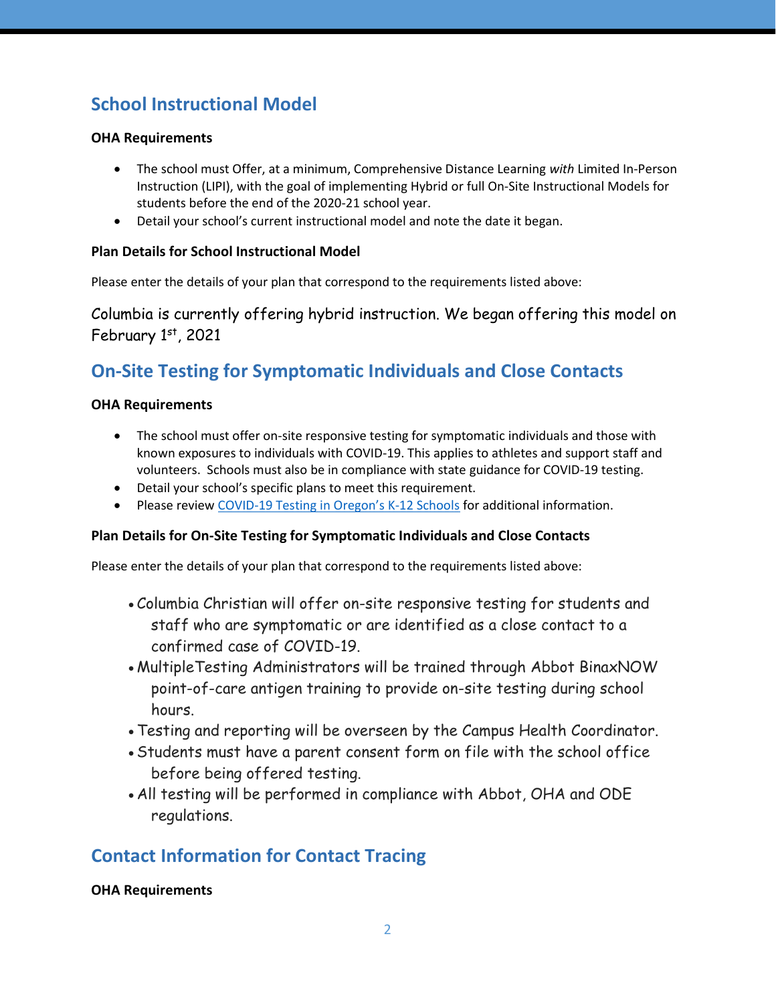# School Instructional Model

#### OHA Requirements

- The school must Offer, at a minimum, Comprehensive Distance Learning with Limited In-Person Instruction (LIPI), with the goal of implementing Hybrid or full On-Site Instructional Models for students before the end of the 2020-21 school year.
- Detail your school's current instructional model and note the date it began.

### Plan Details for School Instructional Model

Please enter the details of your plan that correspond to the requirements listed above:

Columbia is currently offering hybrid instruction. We began offering this model on February  $1<sup>st</sup>$ , 2021

# On-Site Testing for Symptomatic Individuals and Close Contacts

### OHA Requirements

- The school must offer on-site responsive testing for symptomatic individuals and those with known exposures to individuals with COVID-19. This applies to athletes and support staff and volunteers. Schools must also be in compliance with state guidance for COVID-19 testing.
- Detail your school's specific plans to meet this requirement.
- Please review COVID-19 Testing in Oregon's K-12 Schools for additional information.

### Plan Details for On-Site Testing for Symptomatic Individuals and Close Contacts

Please enter the details of your plan that correspond to the requirements listed above:

- Columbia Christian will offer on-site responsive testing for students and staff who are symptomatic or are identified as a close contact to a confirmed case of COVID-19.
- MultipleTesting Administrators will be trained through Abbot BinaxNOW point-of-care antigen training to provide on-site testing during school hours.
- Testing and reporting will be overseen by the Campus Health Coordinator.
- Students must have a parent consent form on file with the school office before being offered testing.
- All testing will be performed in compliance with Abbot, OHA and ODE regulations.

## Contact Information for Contact Tracing

#### OHA Requirements